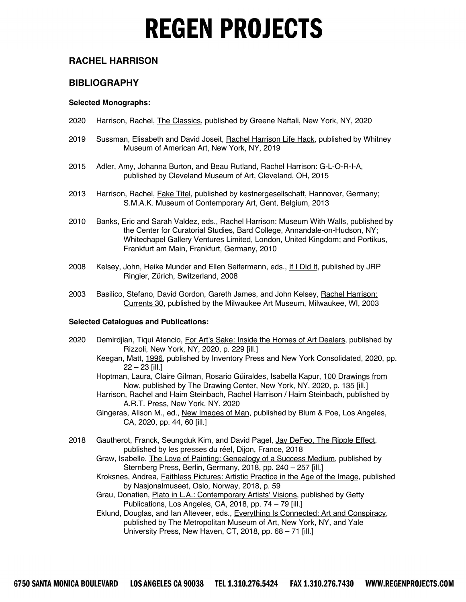#### **RACHEL HARRISON**

#### **BIBLIOGRAPHY**

#### **Selected Monographs:**

- 2020 Harrison, Rachel, *The Classics*, published by Greene Naftali, New York, NY, 2020
- 2019 Sussman, Elisabeth and David Joseit, Rachel Harrison Life Hack, published by Whitney Museum of American Art, New York, NY, 2019
- 2015 Adler, Amy, Johanna Burton, and Beau Rutland, Rachel Harrison: G-L-O-R-I-A, published by Cleveland Museum of Art, Cleveland, OH, 2015
- 2013 Harrison, Rachel, *Fake Titel*, published by kestnergesellschaft, Hannover, Germany; S.M.A.K. Museum of Contemporary Art, Gent, Belgium, 2013
- 2010 Banks, Eric and Sarah Valdez, eds., Rachel Harrison: Museum With Walls, published by the Center for Curatorial Studies, Bard College, Annandale-on-Hudson, NY; Whitechapel Gallery Ventures Limited, London, United Kingdom; and Portikus, Frankfurt am Main, Frankfurt, Germany, 2010
- 2008 Kelsey, John, Heike Munder and Ellen Seifermann, eds., If I Did It, published by JRP Ringier, Zürich, Switzerland, 2008
- 2003 Basilico, Stefano, David Gordon, Gareth James, and John Kelsey, Rachel Harrison: Currents 30, published by the Milwaukee Art Museum, Milwaukee, WI, 2003

#### **Selected Catalogues and Publications:**

- 2020 Demirdjian, Tiqui Atencio, For Art's Sake: Inside the Homes of Art Dealers, published by Rizzoli, New York, NY, 2020, p. 229 [ill.]
	- Keegan, Matt, 1996, published by Inventory Press and New York Consolidated, 2020, pp. 22 – 23 [ill.]
	- Hoptman, Laura, Claire Gilman, Rosario Güiraldes, Isabella Kapur, 100 Drawings from Now, published by The Drawing Center, New York, NY, 2020, p. 135 [ill.]
	- Harrison, Rachel and Haim Steinbach, Rachel Harrison / Haim Steinbach, published by A.R.T. Press, New York, NY, 2020
	- Gingeras, Alison M., ed., New Images of Man, published by Blum & Poe, Los Angeles, CA, 2020, pp. 44, 60 [ill.]
- 2018 Gautherot, Franck, Seungduk Kim, and David Pagel, Jay DeFeo, The Ripple Effect, published by les presses du réel, Dijon, France, 2018
	- Graw, Isabelle, The Love of Painting: Genealogy of a Success Medium, published by Sternberg Press, Berlin, Germany, 2018, pp. 240 – 257 [ill.]
	- Kroksnes, Andrea, Faithless Pictures: Artistic Practice in the Age of the Image, published by Nasjonalmuseet, Oslo, Norway, 2018, p. 59
	- Grau, Donatien, Plato in L.A.: Contemporary Artists' Visions, published by Getty Publications, Los Angeles, CA, 2018, pp. 74 – 79 [ill.]
	- Eklund, Douglas, and Ian Alteveer, eds., Everything Is Connected: Art and Conspiracy, published by The Metropolitan Museum of Art, New York, NY, and Yale University Press, New Haven, CT, 2018, pp. 68 – 71 [ill.]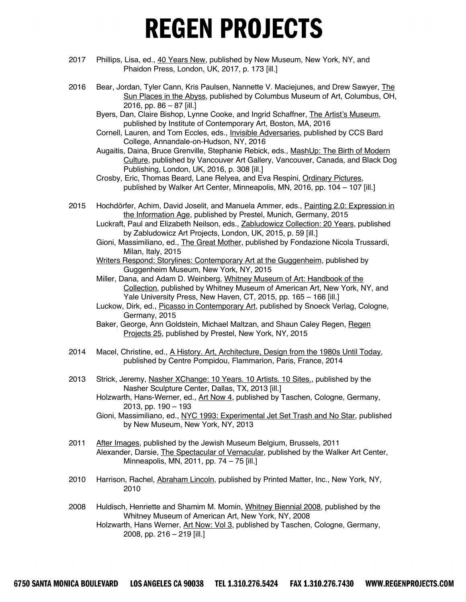- 2017 Phillips, Lisa, ed., 40 Years New, published by New Museum, New York, NY, and Phaidon Press, London, UK, 2017, p. 173 [ill.]
- 2016 Bear, Jordan, Tyler Cann, Kris Paulsen, Nannette V. Maciejunes, and Drew Sawyer, The Sun Places in the Abyss, published by Columbus Museum of Art, Columbus, OH, 2016, pp. 86 – 87 [ill.]
	- Byers, Dan, Claire Bishop, Lynne Cooke, and Ingrid Schaffner, The Artist's Museum, published by Institute of Contemporary Art, Boston, MA, 2016
	- Cornell, Lauren, and Tom Eccles, eds., Invisible Adversaries, published by CCS Bard College, Annandale-on-Hudson, NY, 2016
	- Augaitis, Daina, Bruce Grenville, Stephanie Rebick, eds., MashUp: The Birth of Modern Culture, published by Vancouver Art Gallery, Vancouver, Canada, and Black Dog Publishing, London, UK, 2016, p. 308 [ill.]
	- Crosby, Eric, Thomas Beard, Lane Relyea, and Eva Respini, Ordinary Pictures, published by Walker Art Center, Minneapolis, MN, 2016, pp. 104 – 107 [ill.]
- 2015 Hochdörfer, Achim, David Joselit, and Manuela Ammer, eds., Painting 2.0: Expression in the Information Age, published by Prestel, Munich, Germany, 2015
	- Luckraft, Paul and Elizabeth Neilson, eds., Zabludowicz Collection: 20 Years, published by Zabludowicz Art Projects, London, UK, 2015, p. 59 [ill.]
	- Gioni, Massimiliano, ed., The Great Mother, published by Fondazione Nicola Trussardi, Milan, Italy, 2015
	- Writers Respond: Storylines: Contemporary Art at the Guggenheim, published by Guggenheim Museum, New York, NY, 2015
	- Miller, Dana, and Adam D. Weinberg, Whitney Museum of Art: Handbook of the Collection, published by Whitney Museum of American Art, New York, NY, and Yale University Press, New Haven, CT, 2015, pp. 165 – 166 [ill.]
	- Luckow, Dirk, ed., Picasso in Contemporary Art, published by Snoeck Verlag, Cologne, Germany, 2015
	- Baker, George, Ann Goldstein, Michael Maltzan, and Shaun Caley Regen, Regen Projects 25, published by Prestel, New York, NY, 2015
- 2014 Macel, Christine, ed., A History. Art, Architecture, Design from the 1980s Until Today, published by Centre Pompidou, Flammarion, Paris, France, 2014
- 2013 Strick, Jeremy, Nasher XChange: 10 Years. 10 Artists. 10 Sites., published by the Nasher Sculpture Center, Dallas, TX, 2013 [ill.]
	- Holzwarth, Hans-Werner, ed., Art Now 4, published by Taschen, Cologne, Germany, 2013, pp. 190 – 193
	- Gioni, Massimiliano, ed., NYC 1993: Experimental Jet Set Trash and No Star, published by New Museum, New York, NY, 2013
- 2011 After Images, published by the Jewish Museum Belgium, Brussels, 2011 Alexander, Darsie, The Spectacular of Vernacular, published by the Walker Art Center, Minneapolis, MN, 2011, pp. 74 – 75 [ill.]
- 2010 Harrison, Rachel, Abraham Lincoln, published by Printed Matter, Inc., New York, NY, 2010
- 2008 Huldisch, Henriette and Shamim M. Momin, Whitney Biennial 2008, published by the Whitney Museum of American Art, New York, NY, 2008 Holzwarth, Hans Werner, Art Now: Vol 3, published by Taschen, Cologne, Germany, 2008, pp. 216 – 219 [ill.]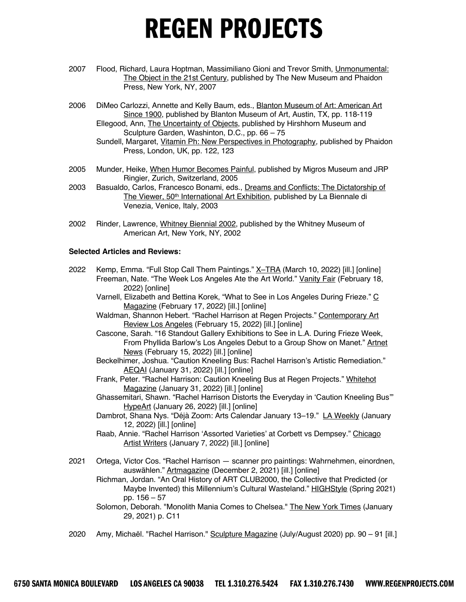- 2007 Flood, Richard, Laura Hoptman, Massimiliano Gioni and Trevor Smith, Unmonumental: The Object in the 21st Century, published by The New Museum and Phaidon Press, New York, NY, 2007
- 2006 DiMeo Carlozzi, Annette and Kelly Baum, eds., Blanton Museum of Art: American Art Since 1900, published by Blanton Museum of Art, Austin, TX, pp*.* 118-119 Ellegood, Ann, The Uncertainty of Objects, published by Hirshhorn Museum and Sculpture Garden, Washinton, D.C., pp. 66 – 75
	- Sundell, Margaret, Vitamin Ph: New Perspectives in Photography*,* published by Phaidon Press, London, UK, pp. 122, 123
- 2005 Munder, Heike, When Humor Becomes Painful, published by Migros Museum and JRP Ringier, Zurich, Switzerland, 2005
- 2003 Basualdo, Carlos, Francesco Bonami, eds., Dreams and Conflicts: The Dictatorship of The Viewer, 50<sup>th</sup> International Art Exhibition, published by La Biennale di Venezia*,* Venice, Italy, 2003
- 2002 Rinder, Lawrence, Whitney Biennial 2002, published by the Whitney Museum of American Art, New York, NY, 2002

#### **Selected Articles and Reviews:**

- 2022 Kemp, Emma. "Full Stop Call Them Paintings." X-TRA (March 10, 2022) [ill.] [online] Freeman, Nate. "The Week Los Angeles Ate the Art World." Vanity Fair (February 18, 2022) [online]
	- Varnell, Elizabeth and Bettina Korek, "What to See in Los Angeles During Frieze." C Magazine (February 17, 2022) [ill.] [online]
	- Waldman, Shannon Hebert. "Rachel Harrison at Regen Projects." Contemporary Art Review Los Angeles (February 15, 2022) [ill.] [online]
	- Cascone, Sarah. "16 Standout Gallery Exhibitions to See in L.A. During Frieze Week, From Phyllida Barlow's Los Angeles Debut to a Group Show on Manet." Artnet News (February 15, 2022) [ill.] [online]
	- Beckelhimer, Joshua. "Caution Kneeling Bus: Rachel Harrison's Artistic Remediation." AEQAI (January 31, 2022) [ill.] [online]
	- Frank, Peter. "Rachel Harrison: Caution Kneeling Bus at Regen Projects." Whitehot Magazine (January 31, 2022) [ill.] [online]
	- Ghassemitari, Shawn. "Rachel Harrison Distorts the Everyday in 'Caution Kneeling Bus'" HypeArt (January 26, 2022) [ill.] [online]
	- Dambrot, Shana Nys. "Déjà Zoom: Arts Calendar January 13-19." LA Weekly (January 12, 2022) [ill.] [online]
	- Raab, Annie. "Rachel Harrison 'Assorted Varieties' at Corbett vs Dempsey." Chicago Artist Writers (January 7, 2022) [ill.] [online]
- 2021 Ortega, Victor Cos. "Rachel Harrison scanner pro paintings: Wahrnehmen, einordnen, auswählen." Artmagazine (December 2, 2021) [ill.] [online]
	- Richman, Jordan. "An Oral History of ART CLUB2000, the Collective that Predicted (or Maybe Invented) this Millennium's Cultural Wasteland." HIGHStyle (Spring 2021) pp. 156 – 57
	- Solomon, Deborah. "Monolith Mania Comes to Chelsea." The New York Times (January 29, 2021) p. C11
- 2020 Amy, Michaël. "Rachel Harrison." Sculpture Magazine (July/August 2020) pp. 90 91 [ill.]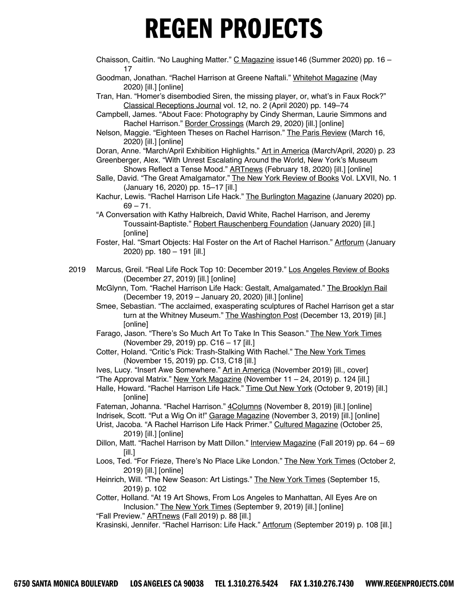- Chaisson, Caitlin. "No Laughing Matter." C Magazine issue146 (Summer 2020) pp. 16 17
- Goodman, Jonathan. "Rachel Harrison at Greene Naftali." Whitehot Magazine (May 2020) [ill.] [online]
- Tran, Han. "Homer's disembodied Siren, the missing player, or, what's in Faux Rock?" Classical Receptions Journal vol. 12, no. 2 (April 2020) pp. 149–74
- Campbell, James. "About Face: Photography by Cindy Sherman, Laurie Simmons and Rachel Harrison." Border Crossings (March 29, 2020) [ill.] [online]
- Nelson, Maggie. "Eighteen Theses on Rachel Harrison." The Paris Review (March 16, 2020) [ill.] [online]
- Doran, Anne. "March/April Exhibition Highlights." Art in America (March/April, 2020) p. 23 Greenberger, Alex. "With Unrest Escalating Around the World, New York's Museum Shows Reflect a Tense Mood." ARTnews (February 18, 2020) [ill.] [online]
- Salle, David. "The Great Amalgamator." The New York Review of Books Vol. LXVII, No. 1 (January 16, 2020) pp. 15–17 [ill.]
- Kachur, Lewis. "Rachel Harrison Life Hack." The Burlington Magazine (January 2020) pp.  $69 - 71$ .
- "A Conversation with Kathy Halbreich, David White, Rachel Harrison, and Jeremy Toussaint-Baptiste." Robert Rauschenberg Foundation (January 2020) [ill.] [online]
- Foster, Hal. "Smart Objects: Hal Foster on the Art of Rachel Harrison." Artforum (January 2020) pp. 180 – 191 [ill.]
- 2019 Marcus, Greil. "Real Life Rock Top 10: December 2019." Los Angeles Review of Books (December 27, 2019) [ill.] [online]
	- McGlynn, Tom. "Rachel Harrison Life Hack: Gestalt, Amalgamated." The Brooklyn Rail (December 19, 2019 – January 20, 2020) [ill.] [online]
	- Smee, Sebastian. "The acclaimed, exasperating sculptures of Rachel Harrison get a star turn at the Whitney Museum." The Washington Post (December 13, 2019) [ill.] [online]
	- Farago, Jason. "There's So Much Art To Take In This Season." The New York Times (November 29, 2019) pp. C16 – 17 [ill.]
	- Cotter, Holand. "Critic's Pick: Trash-Stalking With Rachel." The New York Times (November 15, 2019) pp. C13, C18 [ill.]
	- Ives, Lucy. "Insert Awe Somewhere." Art in America (November 2019) [ill., cover]
	- "The Approval Matrix." New York Magazine (November 11 24, 2019) p. 124 [ill.]
	- Halle, Howard. "Rachel Harrison Life Hack." Time Out New York (October 9, 2019) [ill.] [online]

Fateman, Johanna. "Rachel Harrison." 4Columns (November 8, 2019) [ill.] [online] Indrisek, Scott. "Put a Wig On it!" Garage Magazine (November 3, 2019) [ill.] [online] Urist, Jacoba. "A Rachel Harrison Life Hack Primer." Cultured Magazine (October 25,

- 2019) [ill.] [online]
- Dillon, Matt. "Rachel Harrison by Matt Dillon." Interview Magazine (Fall 2019) pp. 64 69 [ill.]
- Loos, Ted. "For Frieze, There's No Place Like London." The New York Times (October 2, 2019) [ill.] [online]
- Heinrich, Will. "The New Season: Art Listings." The New York Times (September 15, 2019) p. 102
- Cotter, Holland. "At 19 Art Shows, From Los Angeles to Manhattan, All Eyes Are on Inclusion." The New York Times (September 9, 2019) [ill.] [online]
- "Fall Preview." **ARTnews** (Fall 2019) p. 88 [ill.]

Krasinski, Jennifer. "Rachel Harrison: Life Hack." Artforum (September 2019) p. 108 [ill.]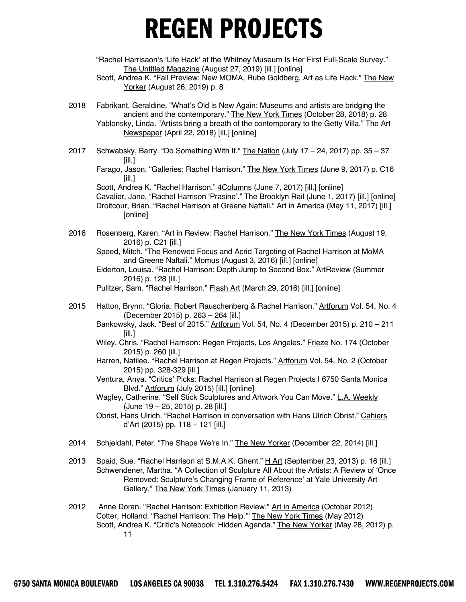"Rachel Harrisaon's 'Life Hack' at the Whitney Museum Is Her First Full-Scale Survey." The Untitled Magazine (August 27, 2019) [ill.] [online]

- Scott, Andrea K. "Fall Preview: New MOMA, Rube Goldberg, Art as Life Hack." The New Yorker (August 26, 2019) p. 8
- 2018 Fabrikant, Geraldine. "What's Old is New Again: Museums and artists are bridging the ancient and the contemporary." The New York Times (October 28, 2018) p. 28 Yablonsky, Linda. "Artists bring a breath of the contemporary to the Getty Villa." The Art Newspaper (April 22, 2018) [ill.] [online]
- 2017 Schwabsky, Barry. "Do Something With It." **The Nation (July 17 24, 2017)** pp.  $35 37$ [ill.]

Farago, Jason. "Galleries: Rachel Harrison." The New York Times (June 9, 2017) p. C16 [ill.]

Scott, Andrea K. "Rachel Harrison." 4Columns (June 7, 2017) [ill.] [online]

Cavalier, Jane. "Rachel Harrison 'Prasine'." The Brooklyn Rail (June 1, 2017) [ill.] [online] Droitcour, Brian. "Rachel Harrison at Greene Naftali." Art in America (May 11, 2017) [ill.] **[online]** 

2016 Rosenberg, Karen. "Art in Review: Rachel Harrison." The New York Times (August 19, 2016) p. C21 [ill.]

Speed, Mitch. "The Renewed Focus and Acrid Targeting of Rachel Harrison at MoMA and Greene Naftali." Momus (August 3, 2016) [ill.] [online]

Pulitzer, Sam. "Rachel Harrison." **Flash Art (March 29, 2016)** [ill.] [online]

- 2015 Hatton, Brynn. "Gloria: Robert Rauschenberg & Rachel Harrison." Artforum Vol. 54, No. 4 (December 2015) p. 263 – 264 [ill.]
	- Bankowsky, Jack. "Best of 2015." Artforum Vol. 54, No. 4 (December 2015) p. 210 211 [ill.]
	- Wiley, Chris. "Rachel Harrison: Regen Projects, Los Angeles." Frieze No. 174 (October 2015) p. 260 [ill.]
	- Harren, Natilee. "Rachel Harrison at Regen Projects." Artforum Vol. 54, No. 2 (October 2015) pp. 328-329 [ill.]
	- Ventura, Anya. "Critics' Picks: Rachel Harrison at Regen Projects | 6750 Santa Monica Blvd." Artforum (July 2015) [ill.] [online]
	- Wagley, Catherine. "Self Stick Sculptures and Artwork You Can Move." L.A. Weekly (June 19 – 25, 2015) p. 28 [ill.]
	- Obrist, Hans Ulrich. "Rachel Harrison in conversation with Hans Ulrich Obrist." Cahiers  $d'Art$  (2015) pp. 118 - 121 [ill.]
- 2014 Schjeldahl, Peter. "The Shape We're In." The New Yorker (December 22, 2014) [ill.]
- 2013 Spaid, Sue. "Rachel Harrison at S.M.A.K. Ghent." H Art (September 23, 2013) p. 16 [ill.] Schwendener, Martha. "A Collection of Sculpture All About the Artists: A Review of 'Once Removed: Sculpture's Changing Frame of Reference' at Yale University Art Gallery." The New York Times (January 11, 2013)
- 2012 Anne Doran. "Rachel Harrison: Exhibition Review." Art in America (October 2012) Cotter, Holland. "Rachel Harrison: The Help.'" The New York Times (May 2012) Scott, Andrea K. "Critic's Notebook: Hidden Agenda." The New Yorker (May 28, 2012) p. 11

Elderton, Louisa. "Rachel Harrison: Depth Jump to Second Box." ArtReview (Summer 2016) p. 128 [ill.]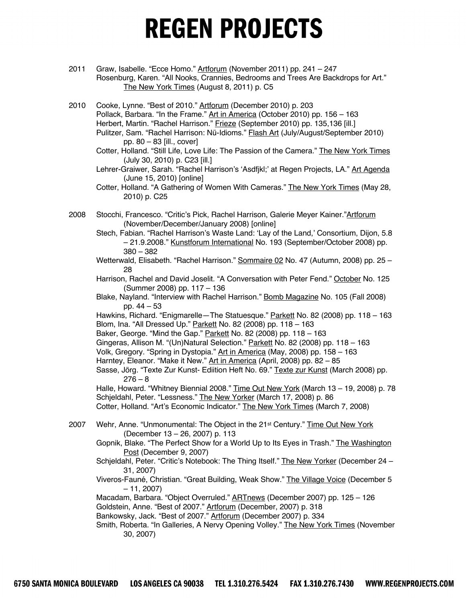- 2011 Graw, Isabelle. "Ecce Homo." Artforum (November 2011) pp. 241 247 Rosenburg, Karen. "All Nooks, Crannies, Bedrooms and Trees Are Backdrops for Art." The New York Times (August 8, 2011) p. C5
- 2010 Cooke, Lynne. "Best of 2010." Artforum (December 2010) p. 203 Pollack, Barbara. "In the Frame." Art in America (October 2010) pp. 156 – 163 Herbert, Martin. "Rachel Harrison." Frieze (September 2010) pp. 135,136 [ill.] Pulitzer, Sam. "Rachel Harrison: Nü-Idioms." Flash Art (July/August/September 2010) pp. 80 – 83 [ill., cover] Cotter, Holland. "Still Life, Love Life: The Passion of the Camera." The New York Times (July 30, 2010) p. C23 [ill.] Lehrer-Graiwer, Sarah. "Rachel Harrison's 'Asdfjkl;' at Regen Projects, LA." Art Agenda (June 15, 2010) [online] Cotter, Holland. "A Gathering of Women With Cameras." The New York Times (May 28, 2010) p. C25 2008 Stocchi, Francesco. "Critic's Pick, Rachel Harrison, Galerie Meyer Kainer."Artforum (November/December/January 2008) [online] Stech, Fabian. "Rachel Harrison's Waste Land: 'Lay of the Land,' Consortium, Dijon, 5.8 – 21.9.2008." Kunstforum International No. 193 (September/October 2008) pp. 380 – 382 Wetterwald, Elisabeth. "Rachel Harrison." Sommaire 02 No. 47 (Autumn, 2008) pp. 25 -28 Harrison, Rachel and David Joselit. "A Conversation with Peter Fend." October No. 125 (Summer 2008) pp. 117 – 136 Blake, Nayland. "Interview with Rachel Harrison." Bomb Magazine No. 105 (Fall 2008) pp. 44 – 53

Hawkins, Richard. "Enigmarelle—The Statuesque." Parkett No. 82 (2008) pp. 118 - 163 Blom, Ina. "All Dressed Up." Parkett No. 82 (2008) pp. 118 – 163

Baker, George. "Mind the Gap." Parkett No. 82 (2008) pp. 118 - 163

Gingeras, Allison M. "(Un)Natural Selection." Parkett No. 82 (2008) pp. 118 - 163 Volk, Gregory. "Spring in Dystopia." Art in America (May, 2008) pp. 158 – 163

Harntey, Eleanor. "Make it New." Art in America (April, 2008) pp. 82 - 85

Sasse, Jörg. "Texte Zur Kunst- Ediition Heft No. 69." Texte zur Kunst (March 2008) pp.  $276 - 8$ 

Halle, Howard. "Whitney Biennial 2008." Time Out New York (March 13 - 19, 2008) p. 78 Schjeldahl, Peter. "Lessness." The New Yorker (March 17, 2008) p. 86 Cotter, Holland. "Art's Economic Indicator." The New York Times (March 7, 2008)

- 2007 Wehr, Anne. "Unmonumental: The Object in the 21<sup>st</sup> Century." Time Out New York (December 13 – 26, 2007) p. 113
	- Gopnik, Blake. "The Perfect Show for a World Up to Its Eyes in Trash." The Washington Post (December 9, 2007)
	- Schjeldahl, Peter. "Critic's Notebook: The Thing Itself." The New Yorker (December 24 31, 2007)
	- Viveros-Fauné, Christian. "Great Building, Weak Show." The Village Voice (December 5 – 11, 2007)

Macadam, Barbara. "Object Overruled." **ARTnews** (December 2007) pp. 125 - 126 Goldstein, Anne. "Best of 2007." Artforum (December, 2007) p. 318

Bankowsky, Jack. "Best of 2007." Artforum (December 2007) p. 334

Smith, Roberta. "In Galleries, A Nervy Opening Volley." The New York Times (November 30, 2007)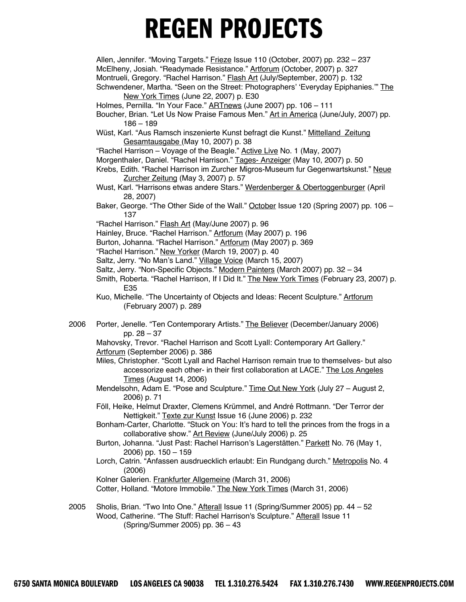Allen, Jennifer. "Moving Targets." Frieze Issue 110 (October, 2007) pp. 232 – 237 McElheny, Josiah. "Readymade Resistance." Artforum (October, 2007) p. 327 Montrueli, Gregory. "Rachel Harrison." Flash Art (July/September, 2007) p. 132 Schwendener, Martha. "Seen on the Street: Photographers' 'Everyday Epiphanies." The

New York Times (June 22, 2007) p. E30

- Holmes, Pernilla. "In Your Face." **ARTnews** (June 2007) pp. 106 111
- Boucher, Brian. "Let Us Now Praise Famous Men." Art in America (June/July, 2007) pp. 186 – 189
- Wüst, Karl. "Aus Ramsch inszenierte Kunst befragt die Kunst." Mittelland Zeitung Gesamtausgabe (May 10, 2007) p. 38
- "Rachel Harrison Voyage of the Beagle." Active Live No. 1 (May, 2007)
- Morgenthaler, Daniel. "Rachel Harrison." Tages- Anzeiger (May 10, 2007) p. 50
- Krebs, Edith. "Rachel Harrison im Zurcher Migros-Museum fur Gegenwartskunst." Neue Zurcher Zeitung (May 3, 2007) p. 57
- Wust, Karl. "Harrisons etwas andere Stars." Werdenberger & Obertoggenburger (April 28, 2007)
- Baker, George. "The Other Side of the Wall." October Issue 120 (Spring 2007) pp. 106 137
- "Rachel Harrison." Flash Art (May/June 2007) p. 96
- Hainley, Bruce. "Rachel Harrison." Artforum (May 2007) p. 196
- Burton, Johanna. "Rachel Harrison." Artforum (May 2007) p. 369
- "Rachel Harrison." New Yorker (March 19, 2007) p. 40
- Saltz, Jerry. "No Man's Land." Village Voice (March 15, 2007)
- Saltz, Jerry. "Non-Specific Objects." Modern Painters (March 2007) pp. 32 34
- Smith, Roberta. "Rachel Harrison, If I Did It." The New York Times (February 23, 2007) p. E35
- Kuo, Michelle. "The Uncertainty of Objects and Ideas: Recent Sculpture." Artforum (February 2007) p. 289
- 2006 Porter, Jenelle. "Ten Contemporary Artists." The Believer (December/January 2006) pp. 28 – 37

Mahovsky, Trevor. "Rachel Harrison and Scott Lyall: Contemporary Art Gallery." Artforum (September 2006) p. 386

- Miles, Christopher. "Scott Lyall and Rachel Harrison remain true to themselves- but also accessorize each other- in their first collaboration at LACE." The Los Angeles Times (August 14, 2006)
- Mendelsohn, Adam E. "Pose and Sculpture." Time Out New York (July 27 August 2, 2006) p. 71
- Föll, Heike, Helmut Draxter, Clemens Krümmel, and André Rottmann. "Der Terror der Nettigkeit." Texte zur Kunst Issue 16 (June 2006) p. 232
- Bonham-Carter, Charlotte. "Stuck on You: It's hard to tell the princes from the frogs in a collaborative show." Art Review (June/July 2006) p. 25
- Burton, Johanna. "Just Past: Rachel Harrison's Lagerstätten." Parkett No. 76 (May 1, 2006) pp. 150 – 159
- Lorch, Catrin. "Anfassen ausdruecklich erlaubt: Ein Rundgang durch." Metropolis No. 4 (2006)
- Kolner Galerien. Frankfurter Allgemeine (March 31, 2006)

Cotter, Holland. "Motore Immobile." The New York Times (March 31, 2006)

2005 Sholis, Brian. "Two Into One." Afterall Issue 11 (Spring/Summer 2005) pp. 44 – 52 Wood, Catherine. "The Stuff: Rachel Harrison's Sculpture." Afterall Issue 11 (Spring/Summer 2005) pp. 36 – 43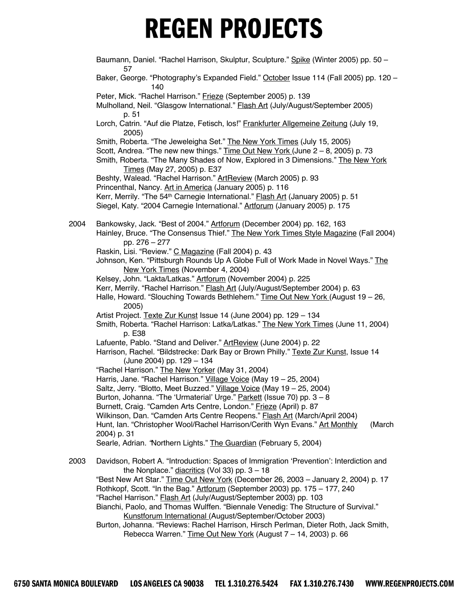|      | Baumann, Daniel. "Rachel Harrison, Skulptur, Sculpture." Spike (Winter 2005) pp. 50 -<br>57                                                                                                                                                                                                                                                                                                                                    |
|------|--------------------------------------------------------------------------------------------------------------------------------------------------------------------------------------------------------------------------------------------------------------------------------------------------------------------------------------------------------------------------------------------------------------------------------|
|      | Baker, George. "Photography's Expanded Field." October Issue 114 (Fall 2005) pp. 120 -<br>140                                                                                                                                                                                                                                                                                                                                  |
|      | Peter, Mick. "Rachel Harrison." Frieze (September 2005) p. 139<br>Mulholland, Neil. "Glasgow International." <b>Flash Art (July/August/September 2005)</b>                                                                                                                                                                                                                                                                     |
|      | p. 51<br>Lorch, Catrin. "Auf die Platze, Fetisch, los!" Frankfurter Allgemeine Zeitung (July 19,<br>2005)                                                                                                                                                                                                                                                                                                                      |
|      | Smith, Roberta. "The Jeweleigha Set." The New York Times (July 15, 2005)<br>Scott, Andrea. "The new new things." Time Out New York (June $2 - 8$ , 2005) p. 73<br>Smith, Roberta. "The Many Shades of Now, Explored in 3 Dimensions." The New York<br>Times (May 27, 2005) p. E37                                                                                                                                              |
|      | Beshty, Walead. "Rachel Harrison." ArtReview (March 2005) p. 93                                                                                                                                                                                                                                                                                                                                                                |
|      | Princenthal, Nancy. Art in America (January 2005) p. 116<br>Kerr, Merrily. "The 54 <sup>th</sup> Carnegie International." <b>Flash Art (January 2005)</b> p. 51<br>Siegel, Katy. "2004 Carnegie International." Artforum (January 2005) p. 175                                                                                                                                                                                 |
| 2004 | Bankowsky, Jack. "Best of 2004." Artforum (December 2004) pp. 162, 163<br>Hainley, Bruce. "The Consensus Thief." The New York Times Style Magazine (Fall 2004)<br>pp. 276 - 277                                                                                                                                                                                                                                                |
|      | Raskin, Lisi. "Review." C Magazine (Fall 2004) p. 43<br>Johnson, Ken. "Pittsburgh Rounds Up A Globe Full of Work Made in Novel Ways." The<br>New York Times (November 4, 2004)                                                                                                                                                                                                                                                 |
|      | Kelsey, John. "Lakta/Latkas." Artforum (November 2004) p. 225<br>Kerr, Merrily. "Rachel Harrison." Flash Art (July/August/September 2004) p. 63<br>Halle, Howard. "Slouching Towards Bethlehem." Time Out New York (August 19 - 26,<br>2005)                                                                                                                                                                                   |
|      | Artist Project. Texte Zur Kunst Issue 14 (June 2004) pp. 129 - 134<br>Smith, Roberta. "Rachel Harrison: Latka/Latkas." The New York Times (June 11, 2004)<br>p. E38                                                                                                                                                                                                                                                            |
|      | Lafuente, Pablo. "Stand and Deliver." ArtReview (June 2004) p. 22<br>Harrison, Rachel. "Bildstrecke: Dark Bay or Brown Philly." Texte Zur Kunst, Issue 14<br>(June 2004) pp. 129 - 134                                                                                                                                                                                                                                         |
|      | "Rachel Harrison." The New Yorker (May 31, 2004)<br>Harris, Jane. "Rachel Harrison." Village Voice (May 19 - 25, 2004)<br>Saltz, Jerry. "Blotto, Meet Buzzed." Village Voice (May 19 - 25, 2004)<br>Burton, Johanna. "The 'Urmaterial' Urge." Parkett (Issue 70) pp. 3 - 8<br>Burnett, Craig. "Camden Arts Centre, London." Frieze (April) p. 87<br>Wilkinson, Dan. "Camden Arts Centre Reopens." Flash Art (March/April 2004) |
|      | Hunt, Ian. "Christopher Wool/Rachel Harrison/Cerith Wyn Evans." Art Monthly<br>(March<br>2004) p. 31<br>Searle, Adrian. 'Northern Lights." The Guardian (February 5, 2004)                                                                                                                                                                                                                                                     |
| 2003 | Davidson, Robert A. "Introduction: Spaces of Immigration 'Prevention': Interdiction and                                                                                                                                                                                                                                                                                                                                        |
|      | the Nonplace." $diacritics$ (Vol 33) pp. $3 - 18$<br>"Best New Art Star." Time Out New York (December 26, 2003 - January 2, 2004) p. 17<br>Rothkopf, Scott. "In the Bag." Artforum (September 2003) pp. 175 - 177, 240<br>"Rachel Harrison." <b>Flash Art (July/August/September 2003)</b> pp. 103                                                                                                                             |
|      | Bianchi, Paolo, and Thomas Wulffen. "Biennale Venedig: The Structure of Survival."<br>Kunstforum International (August/September/October 2003)                                                                                                                                                                                                                                                                                 |

Burton, Johanna. "Reviews: Rachel Harrison, Hirsch Perlman, Dieter Roth, Jack Smith, Rebecca Warren." Time Out New York (August 7 – 14, 2003) p. 66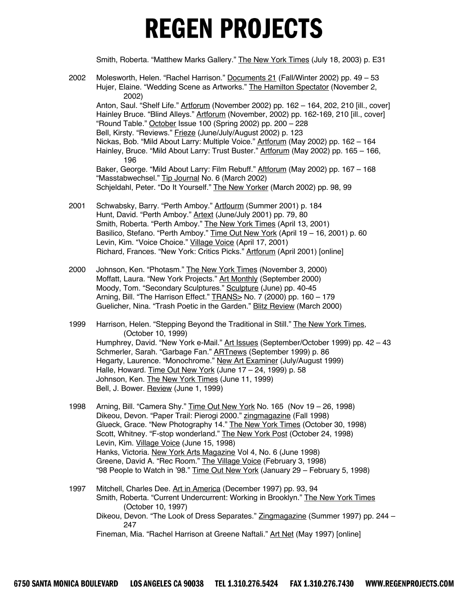Smith, Roberta. "Matthew Marks Gallery." The New York Times (July 18, 2003) p. E31

- 2002 Molesworth, Helen. "Rachel Harrison." Documents 21 (Fall/Winter 2002) pp. 49 53 Hujer, Elaine. "Wedding Scene as Artworks." The Hamilton Spectator (November 2, 2002) Anton, Saul. "Shelf Life." Artforum (November 2002) pp. 162 – 164, 202, 210 [ill., cover] Hainley Bruce. "Blind Alleys." Artforum (November, 2002) pp. 162-169, 210 [ill., cover] "Round Table." October Issue 100 (Spring 2002) pp. 200 – 228 Bell, Kirsty. "Reviews." Frieze (June/July/August 2002) p. 123 Nickas, Bob. "Mild About Larry: Multiple Voice." Artforum (May 2002) pp. 162 – 164 Hainley, Bruce. "Mild About Larry: Trust Buster." Artforum (May 2002) pp. 165 - 166, 196 Baker, George. "Mild About Larry: Film Rebuff." Aftforum (May 2002) pp. 167 – 168 "Masstabwechsel." Tip Journal No. 6 (March 2002) Schjeldahl, Peter. "Do It Yourself." The New Yorker (March 2002) pp. 98, 99
- 2001 Schwabsky, Barry. "Perth Amboy." Artfourm (Summer 2001) p. 184 Hunt, David. "Perth Amboy." Artext (June/July 2001) pp. 79, 80 Smith, Roberta. "Perth Amboy." The New York Times (April 13, 2001) Basilico, Stefano. "Perth Amboy." Time Out New York (April 19 - 16, 2001) p. 60 Levin, Kim. "Voice Choice." Village Voice (April 17, 2001) Richard, Frances. "New York: Critics Picks." Artforum (April 2001) [online]
- 2000 Johnson, Ken. "Photasm." The New York Times (November 3, 2000) Moffatt, Laura. "New York Projects." Art Monthly (September 2000) Moody, Tom. "Secondary Sculptures." Sculpture (June) pp. 40-45 Arning, Bill. "The Harrison Effect." **TRANS> No. 7 (2000)** pp. 160 - 179 Guelicher, Nina. "Trash Poetic in the Garden." Blitz Review (March 2000)
- 1999 Harrison, Helen. "Stepping Beyond the Traditional in Still." The New York Times, (October 10, 1999) Humphrey, David. "New York e-Mail." Art Issues (September/October 1999) pp. 42 - 43 Schmerler, Sarah. "Garbage Fan." ARTnews (September 1999) p. 86 Hegarty, Laurence. "Monochrome." New Art Examiner (July/August 1999) Halle, Howard. Time Out New York (June 17 - 24, 1999) p. 58 Johnson, Ken. The New York Times (June 11, 1999) Bell, J. Bower. Review (June 1, 1999)
- 1998 Arning, Bill. "Camera Shy." Time Out New York No. 165 (Nov 19 26, 1998) Dikeou, Devon. "Paper Trail: Pierogi 2000." zingmagazine (Fall 1998) Glueck, Grace. "New Photography 14." The New York Times (October 30, 1998) Scott, Whitney. "F-stop wonderland." The New York Post (October 24, 1998) Levin, Kim. Village Voice (June 15, 1998) Hanks, Victoria. New York Arts Magazine Vol 4, No. 6 (June 1998) Greene, David A. "Rec Room." The Village Voice (February 3, 1998) "98 People to Watch in '98." Time Out New York (January 29 – February 5, 1998)
- 1997 Mitchell, Charles Dee. Art in America (December 1997) pp. 93, 94 Smith, Roberta. "Current Undercurrent: Working in Brooklyn." The New York Times (October 10, 1997) Dikeou, Devon. "The Look of Dress Separates." Zingmagazine (Summer 1997) pp. 244 – 247 Fineman, Mia. "Rachel Harrison at Greene Naftali." Art Net (May 1997) [online]